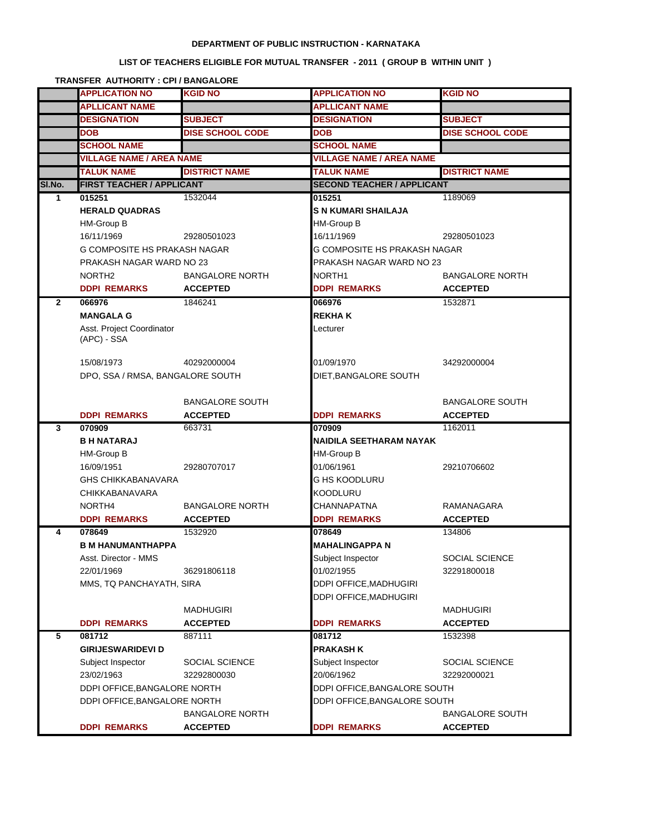### **DEPARTMENT OF PUBLIC INSTRUCTION - KARNATAKA**

# **LIST OF TEACHERS ELIGIBLE FOR MUTUAL TRANSFER - 2011 ( GROUP B WITHIN UNIT )**

#### **TRANSFER AUTHORITY : CPI / BANGALORE**

|        | <b>APPLICATION NO</b>            | KGID NO                   | <b>APPLICATION NO</b>             | <b>KGID NO</b>             |
|--------|----------------------------------|---------------------------|-----------------------------------|----------------------------|
|        | <b>APLLICANT NAME</b>            |                           | APLLICANT NAME                    |                            |
|        | <b>DESIGNATION</b>               | <b>SUBJECT</b>            | <b>DESIGNATION</b>                | <b>SUBJECT</b>             |
|        | <b>DOB</b>                       | <b>DISE SCHOOL CODE</b>   | <b>DOB</b>                        | <b>DISE SCHOOL CODE</b>    |
|        | <b>SCHOOL NAME</b>               |                           | <b>SCHOOL NAME</b>                |                            |
|        | <b>VILLAGE NAME / AREA NAME</b>  |                           | <b>VILLAGE NAME / AREA NAME</b>   |                            |
|        | <b>TALUK NAME</b>                | <b>DISTRICT NAME</b>      | <b>TALUK NAME</b>                 | <b>DISTRICT NAME</b>       |
| SI.No. | <b>FIRST TEACHER / APPLICANT</b> |                           | <b>SECOND TEACHER / APPLICANT</b> |                            |
| 1      | 015251                           | 1532044                   | 015251                            | 1189069                    |
|        | <b>HERALD QUADRAS</b>            |                           | IS N KUMARI SHAILAJA              |                            |
|        | HM-Group B                       |                           | <b>HM-Group B</b>                 |                            |
|        | 16/11/1969                       | 29280501023               | 16/11/1969                        | 29280501023                |
|        | G COMPOSITE HS PRAKASH NAGAR     |                           | G COMPOSITE HS PRAKASH NAGAR      |                            |
|        | PRAKASH NAGAR WARD NO 23         |                           | PRAKASH NAGAR WARD NO 23          |                            |
|        | NORTH <sub>2</sub>               | <b>BANGALORE NORTH</b>    | NORTH <sub>1</sub>                | <b>BANGALORE NORTH</b>     |
|        | <b>DDPI REMARKS</b>              | <b>ACCEPTED</b>           | <b>DDPI REMARKS</b>               | <b>ACCEPTED</b>            |
| 2      | 066976                           | 1846241                   | 066976                            | 1532871                    |
|        | <b>MANGALA G</b>                 |                           | <b>REKHAK</b>                     |                            |
|        | Asst. Project Coordinator        |                           | Lecturer                          |                            |
|        | (APC) - SSA                      |                           |                                   |                            |
|        | 15/08/1973                       | 40292000004               | 01/09/1970                        | 34292000004                |
|        | DPO, SSA / RMSA, BANGALORE SOUTH |                           | DIET, BANGALORE SOUTH             |                            |
|        |                                  |                           |                                   |                            |
|        |                                  | <b>BANGALORE SOUTH</b>    |                                   | <b>BANGALORE SOUTH</b>     |
|        |                                  |                           |                                   |                            |
|        |                                  |                           |                                   |                            |
| 3      | <b>DDPI REMARKS</b><br>070909    | <b>ACCEPTED</b><br>663731 | <b>DDPI REMARKS</b><br>070909     | <b>ACCEPTED</b><br>1162011 |
|        | <b>B H NATARAJ</b>               |                           | NAIDILA SEETHARAM NAYAK           |                            |
|        | HM-Group B                       |                           | <b>HM-Group B</b>                 |                            |
|        | 16/09/1951                       | 29280707017               | 01/06/1961                        | 29210706602                |
|        | <b>GHS CHIKKABANAVARA</b>        |                           | G HS KOODLURU                     |                            |
|        | <b>CHIKKABANAVARA</b>            |                           | <b>KOODLURU</b>                   |                            |
|        | NORTH4                           | <b>BANGALORE NORTH</b>    | <b>CHANNAPATNA</b>                | RAMANAGARA                 |
|        | <b>DDPI REMARKS</b>              | <b>ACCEPTED</b>           | <b>DDPI REMARKS</b>               | <b>ACCEPTED</b>            |
| 4      | 078649                           | 1532920                   | 078649                            | 134806                     |
|        | <b>B M HANUMANTHAPPA</b>         |                           | IMAHALINGAPPA N                   |                            |
|        | Asst. Director - MMS             |                           | Subject Inspector                 | SOCIAL SCIENCE             |
|        | 22/01/1969                       | 36291806118               | 01/02/1955                        | 32291800018                |
|        | MMS, TQ PANCHAYATH, SIRA         |                           | DDPI OFFICE, MADHUGIRI            |                            |
|        |                                  |                           | DDPI OFFICE, MADHUGIRI            |                            |
|        |                                  | <b>MADHUGIRI</b>          |                                   | MADHUGIRI                  |
|        | <b>DDPI REMARKS</b>              | <b>ACCEPTED</b>           | <b>DDPI REMARKS</b>               | <b>ACCEPTED</b>            |
| 5      | 081712                           | 887111                    | 081712                            | 1532398                    |
|        | <b>GIRIJESWARIDEVI D</b>         |                           | <b>PRAKASH K</b>                  |                            |
|        | Subject Inspector                | SOCIAL SCIENCE            | Subject Inspector                 | SOCIAL SCIENCE             |
|        | 23/02/1963                       | 32292800030               | 20/06/1962                        | 32292000021                |
|        | DDPI OFFICE, BANGALORE NORTH     |                           | DDPI OFFICE, BANGALORE SOUTH      |                            |
|        | DDPI OFFICE, BANGALORE NORTH     |                           | DDPI OFFICE, BANGALORE SOUTH      |                            |
|        |                                  | <b>BANGALORE NORTH</b>    |                                   | <b>BANGALORE SOUTH</b>     |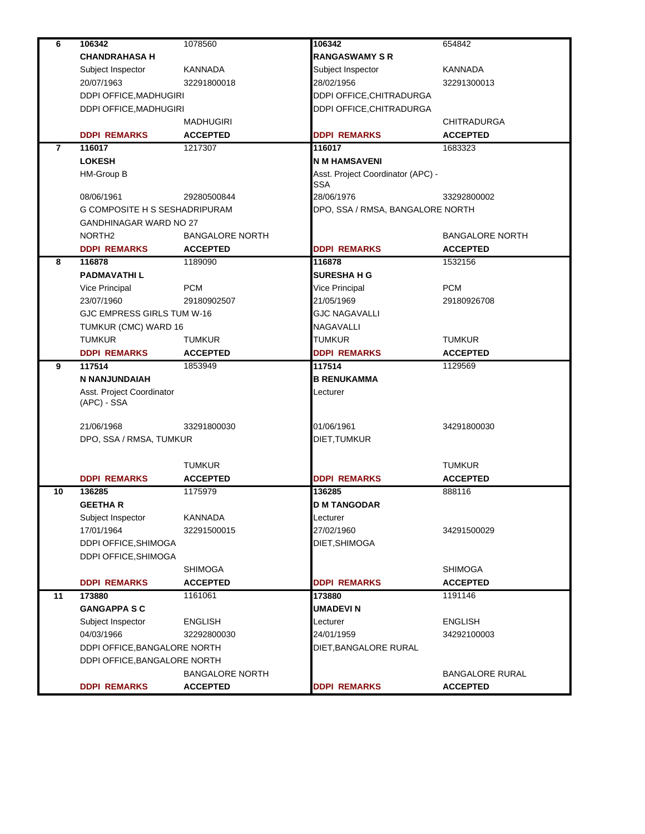| 6  | 106342                              | 1078560                | 106342                            | 654842                 |
|----|-------------------------------------|------------------------|-----------------------------------|------------------------|
|    | <b>CHANDRAHASA H</b>                |                        | <b>RANGASWAMY S R</b>             |                        |
|    | Subject Inspector                   | <b>KANNADA</b>         | Subject Inspector                 | <b>KANNADA</b>         |
|    | 20/07/1963                          | 32291800018            | 28/02/1956                        | 32291300013            |
|    | DDPI OFFICE, MADHUGIRI              |                        | <b>DDPI OFFICE, CHITRADURGA</b>   |                        |
|    | DDPI OFFICE, MADHUGIRI<br>MADHUGIRI |                        | DDPI OFFICE, CHITRADURGA          |                        |
|    |                                     |                        |                                   | <b>CHITRADURGA</b>     |
|    | <b>DDPI REMARKS</b>                 | <b>ACCEPTED</b>        | <b>DDPI REMARKS</b>               | <b>ACCEPTED</b>        |
| 7  | 116017                              | 1217307                | 116017                            | 1683323                |
|    | <b>LOKESH</b>                       |                        | <b>IN M HAMSAVENI</b>             |                        |
|    | HM-Group B                          |                        | Asst. Project Coordinator (APC) - |                        |
|    |                                     |                        | SSA                               |                        |
|    | 08/06/1961                          | 29280500844            | 28/06/1976                        | 33292800002            |
|    | G COMPOSITE H S SESHADRIPURAM       |                        | DPO, SSA / RMSA, BANGALORE NORTH  |                        |
|    | GANDHINAGAR WARD NO 27              |                        |                                   |                        |
|    | NORTH <sub>2</sub>                  | <b>BANGALORE NORTH</b> |                                   | <b>BANGALORE NORTH</b> |
|    | <b>DDPI REMARKS</b>                 | <b>ACCEPTED</b>        | <b>DDPI REMARKS</b>               | <b>ACCEPTED</b>        |
| 8  | 116878                              | 1189090                | 116878                            | 1532156                |
|    | <b>PADMAVATHIL</b>                  |                        | <b>SURESHA H G</b>                |                        |
|    | Vice Principal                      | <b>PCM</b>             | Vice Principal                    | <b>PCM</b>             |
|    | 23/07/1960                          | 29180902507            | 21/05/1969                        | 29180926708            |
|    | GJC EMPRESS GIRLS TUM W-16          |                        | <b>GJC NAGAVALLI</b>              |                        |
|    | TUMKUR (CMC) WARD 16                |                        | NAGAVALLI                         |                        |
|    | <b>TUMKUR</b>                       | <b>TUMKUR</b>          | <b>TUMKUR</b>                     | TUMKUR                 |
|    | <b>DDPI REMARKS</b>                 | <b>ACCEPTED</b>        | <b>DDPI REMARKS</b>               | <b>ACCEPTED</b>        |
| 9  | 117514                              | 1853949                | 117514                            | 1129569                |
|    | N NANJUNDAIAH                       |                        | <b>B RENUKAMMA</b>                |                        |
|    | Asst. Project Coordinator           |                        | Lecturer                          |                        |
|    | (APC) - SSA                         |                        |                                   |                        |
|    |                                     |                        |                                   |                        |
|    | 21/06/1968                          | 33291800030            | 01/06/1961                        | 34291800030            |
|    | DPO, SSA / RMSA, TUMKUR             |                        | DIET, TUMKUR                      |                        |
|    |                                     |                        |                                   |                        |
|    |                                     | <b>TUMKUR</b>          |                                   | <b>TUMKUR</b>          |
|    | <b>DDPI REMARKS</b>                 | <b>ACCEPTED</b>        | <b>DDPI REMARKS</b>               | <b>ACCEPTED</b>        |
| 10 | 136285                              | 1175979                | 136285                            | 888116                 |
|    | <b>GEETHAR</b>                      |                        | <b>ID M TANGODAR</b>              |                        |
|    | Subject Inspector                   | KANNADA                | Lecturer                          |                        |
|    | 17/01/1964                          | 32291500015            | 27/02/1960                        | 34291500029            |
|    | DDPI OFFICE, SHIMOGA                |                        | DIET, SHIMOGA                     |                        |
|    | DDPI OFFICE, SHIMOGA                |                        |                                   |                        |
|    |                                     | SHIMOGA                |                                   | <b>SHIMOGA</b>         |
|    | <b>DDPI REMARKS</b>                 | <b>ACCEPTED</b>        | <b>DDPI REMARKS</b>               | <b>ACCEPTED</b>        |
| 11 | 173880                              | 1161061                | 173880                            | 1191146                |
|    | <b>GANGAPPA S C</b>                 |                        | UMADEVI N                         |                        |
|    | Subject Inspector                   | ENGLISH                | Lecturer                          | <b>ENGLISH</b>         |
|    | 04/03/1966                          | 32292800030            | 24/01/1959                        | 34292100003            |
|    | DDPI OFFICE, BANGALORE NORTH        |                        | DIET, BANGALORE RURAL             |                        |
|    | DDPI OFFICE, BANGALORE NORTH        |                        |                                   |                        |
|    |                                     | <b>BANGALORE NORTH</b> |                                   | <b>BANGALORE RURAL</b> |
|    | <b>DDPI REMARKS</b>                 | <b>ACCEPTED</b>        | <b>DDPI REMARKS</b>               | <b>ACCEPTED</b>        |
|    |                                     |                        |                                   |                        |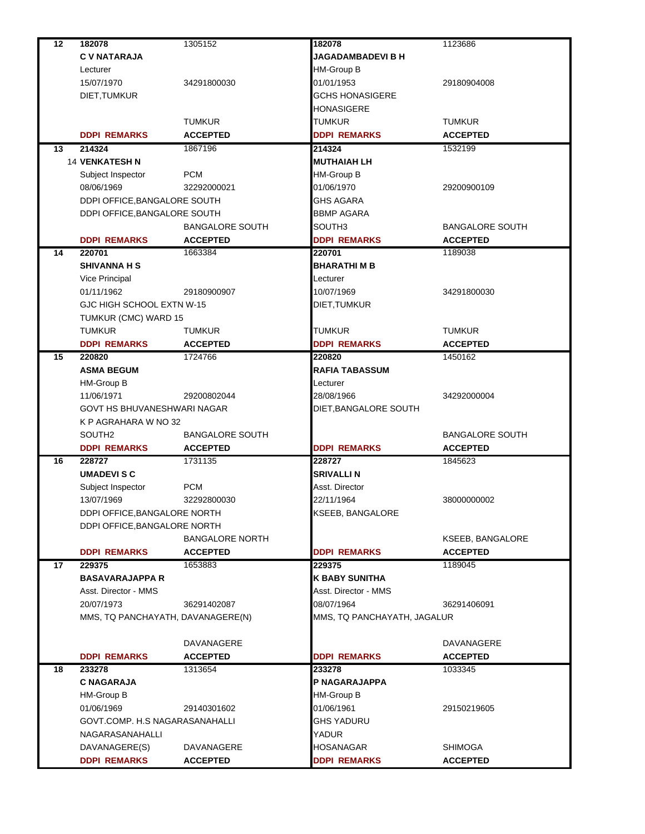| 12 | 182078                            | 1305152                    | 182078                        | 1123686                    |
|----|-----------------------------------|----------------------------|-------------------------------|----------------------------|
|    | <b>C V NATARAJA</b>               |                            | <b>JAGADAMBADEVI B H</b>      |                            |
|    | Lecturer                          |                            | HM-Group B                    |                            |
|    | 15/07/1970                        | 34291800030                | 01/01/1953                    | 29180904008                |
|    | DIET, TUMKUR                      |                            | <b>GCHS HONASIGERE</b>        |                            |
|    |                                   |                            | HONASIGERE                    |                            |
|    |                                   | <b>TUMKUR</b>              | TUMKUR                        | <b>TUMKUR</b>              |
|    | <b>DDPI REMARKS</b>               | <b>ACCEPTED</b>            | <b>DDPI REMARKS</b>           | <b>ACCEPTED</b>            |
| 13 | 214324                            | 1867196                    | 214324                        | 1532199                    |
|    | <b>14 VENKATESH N</b>             |                            | <b>MUTHAIAH LH</b>            |                            |
|    | Subject Inspector                 | <b>PCM</b>                 | HM-Group B                    |                            |
|    | 08/06/1969                        | 32292000021                | 01/06/1970                    | 29200900109                |
|    | DDPI OFFICE, BANGALORE SOUTH      |                            | <b>GHS AGARA</b>              |                            |
|    | DDPI OFFICE, BANGALORE SOUTH      |                            | BBMP AGARA                    |                            |
|    |                                   |                            |                               |                            |
|    |                                   | <b>BANGALORE SOUTH</b>     | SOUTH3<br><b>DDPI REMARKS</b> | <b>BANGALORE SOUTH</b>     |
| 14 | <b>DDPI REMARKS</b><br>220701     | <b>ACCEPTED</b><br>1663384 | 220701                        | <b>ACCEPTED</b><br>1189038 |
|    | <b>SHIVANNA H S</b>               |                            | <b>BHARATHI M B</b>           |                            |
|    |                                   |                            |                               |                            |
|    | Vice Principal                    |                            | Lecturer                      |                            |
|    | 01/11/1962                        | 29180900907                | 10/07/1969                    | 34291800030                |
|    | GJC HIGH SCHOOL EXTN W-15         |                            | DIET, TUMKUR                  |                            |
|    | TUMKUR (CMC) WARD 15              |                            |                               |                            |
|    | <b>TUMKUR</b>                     | <b>TUMKUR</b>              | <b>TUMKUR</b>                 | <b>TUMKUR</b>              |
|    | <b>DDPI REMARKS</b>               | <b>ACCEPTED</b>            | <b>DDPI REMARKS</b>           | <b>ACCEPTED</b>            |
| 15 | 220820                            | 1724766                    | 220820                        | 1450162                    |
|    | <b>ASMA BEGUM</b>                 |                            | RAFIA TABASSUM                |                            |
|    | HM-Group B                        |                            | Lecturer                      |                            |
|    | 11/06/1971                        | 29200802044                | 28/08/1966                    | 34292000004                |
|    | GOVT HS BHUVANESHWARI NAGAR       |                            | DIET, BANGALORE SOUTH         |                            |
|    | K P AGRAHARA W NO 32              |                            |                               |                            |
|    | SOUTH <sub>2</sub>                | <b>BANGALORE SOUTH</b>     |                               | <b>BANGALORE SOUTH</b>     |
|    | <b>DDPI REMARKS</b>               | <b>ACCEPTED</b>            | <b>DDPI REMARKS</b>           | <b>ACCEPTED</b>            |
| 16 | 228727                            | 1731135                    | 228727                        | 1845623                    |
|    | <b>UMADEVISC</b>                  |                            | <b>SRIVALLI N</b>             |                            |
|    | Subject Inspector                 | <b>PCM</b>                 | Asst. Director                |                            |
|    | 13/07/1969                        | 32292800030                | 22/11/1964                    | 38000000002                |
|    | DDPI OFFICE, BANGALORE NORTH      |                            | KSEEB, BANGALORE              |                            |
|    | DDPI OFFICE, BANGALORE NORTH      |                            |                               |                            |
|    |                                   | <b>BANGALORE NORTH</b>     |                               | KSEEB, BANGALORE           |
|    | <b>DDPI REMARKS</b>               | <b>ACCEPTED</b>            | <b>DDPI REMARKS</b>           | <b>ACCEPTED</b>            |
| 17 | 229375                            | 1653883                    | 229375                        | 1189045                    |
|    | <b>BASAVARAJAPPA R</b>            |                            | K BABY SUNITHA                |                            |
|    | Asst. Director - MMS              |                            | Asst. Director - MMS          |                            |
|    | 20/07/1973                        | 36291402087                | 08/07/1964                    | 36291406091                |
|    | MMS, TQ PANCHAYATH, DAVANAGERE(N) |                            | MMS, TQ PANCHAYATH, JAGALUR   |                            |
|    |                                   |                            |                               |                            |
|    |                                   | DAVANAGERE                 |                               | <b>DAVANAGERE</b>          |
|    | <b>DDPI REMARKS</b>               | <b>ACCEPTED</b>            | <b>DDPI REMARKS</b>           | <b>ACCEPTED</b>            |
| 18 | 233278                            | 1313654                    | 233278                        | 1033345                    |
|    | <b>C NAGARAJA</b>                 |                            | P NAGARAJAPPA                 |                            |
|    | HM-Group B                        |                            | HM-Group B                    |                            |
|    | 01/06/1969                        | 29140301602                | 01/06/1961                    | 29150219605                |
|    | GOVT.COMP. H.S NAGARASANAHALLI    |                            | GHS YADURU                    |                            |
|    | NAGARASANAHALLI                   |                            | YADUR                         |                            |
|    | DAVANAGERE(S)                     | DAVANAGERE                 | HOSANAGAR                     | <b>SHIMOGA</b>             |
|    | <b>DDPI REMARKS</b>               | <b>ACCEPTED</b>            | <b>DDPI REMARKS</b>           | <b>ACCEPTED</b>            |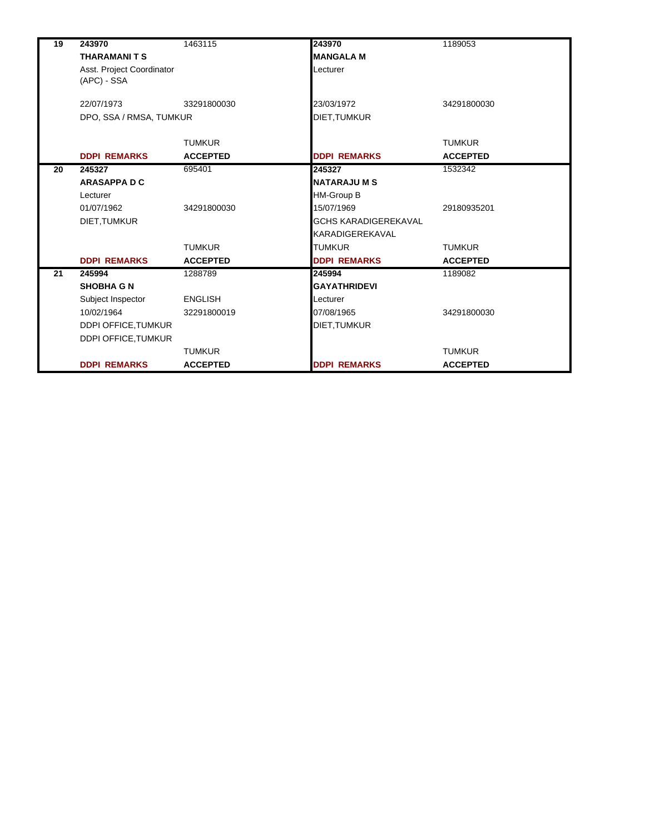| 19 | 243970                     | 1463115         | 243970                      | 1189053         |
|----|----------------------------|-----------------|-----------------------------|-----------------|
|    | <b>THARAMANITS</b>         |                 | <b>MANGALA M</b>            |                 |
|    | Asst. Project Coordinator  |                 | Lecturer                    |                 |
|    | (APC) - SSA                |                 |                             |                 |
|    |                            |                 |                             |                 |
|    | 22/07/1973                 | 33291800030     | 23/03/1972                  | 34291800030     |
|    | DPO, SSA / RMSA, TUMKUR    |                 | DIET, TUMKUR                |                 |
|    |                            | <b>TUMKUR</b>   |                             | <b>TUMKUR</b>   |
|    | <b>DDPI REMARKS</b>        | <b>ACCEPTED</b> |                             | <b>ACCEPTED</b> |
|    |                            | 695401          | <b>DDPI REMARKS</b>         |                 |
| 20 | 245327                     |                 | 245327                      | 1532342         |
|    | <b>ARASAPPA D C</b>        |                 | <b>NATARAJUMS</b>           |                 |
|    | Lecturer                   |                 | <b>HM-Group B</b>           |                 |
|    | 01/07/1962                 | 34291800030     | 15/07/1969                  | 29180935201     |
|    | DIET, TUMKUR               |                 | <b>GCHS KARADIGEREKAVAL</b> |                 |
|    |                            |                 | KARADIGEREKAVAL             |                 |
|    |                            | <b>TUMKUR</b>   | <b>TUMKUR</b>               | <b>TUMKUR</b>   |
|    | <b>DDPI REMARKS</b>        | <b>ACCEPTED</b> | <b>DDPI REMARKS</b>         | <b>ACCEPTED</b> |
| 21 | 245994                     | 1288789         | 245994                      | 1189082         |
|    | <b>SHOBHA G N</b>          |                 | <b>GAYATHRIDEVI</b>         |                 |
|    | Subject Inspector          | <b>ENGLISH</b>  | Lecturer                    |                 |
|    | 10/02/1964                 | 32291800019     | 07/08/1965                  | 34291800030     |
|    | DDPI OFFICE, TUMKUR        |                 | DIET, TUMKUR                |                 |
|    | <b>DDPI OFFICE, TUMKUR</b> |                 |                             |                 |
|    |                            | <b>TUMKUR</b>   |                             | <b>TUMKUR</b>   |
|    | <b>DDPI REMARKS</b>        | <b>ACCEPTED</b> | <b>DDPI REMARKS</b>         | <b>ACCEPTED</b> |